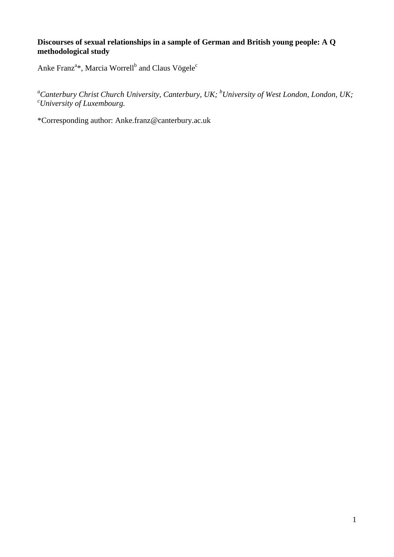# **Discourses of sexual relationships in a sample of German and British young people: A Q methodological study**

Anke Franz<sup>a\*</sup>, Marcia Worrell<sup>b</sup> and Claus Vögele<sup>c</sup>

*<sup>a</sup>Canterbury Christ Church University, Canterbury, UK; <sup>b</sup>University of West London, London, UK; <sup>c</sup>University of Luxembourg.*

\*Corresponding author: Anke.franz@canterbury.ac.uk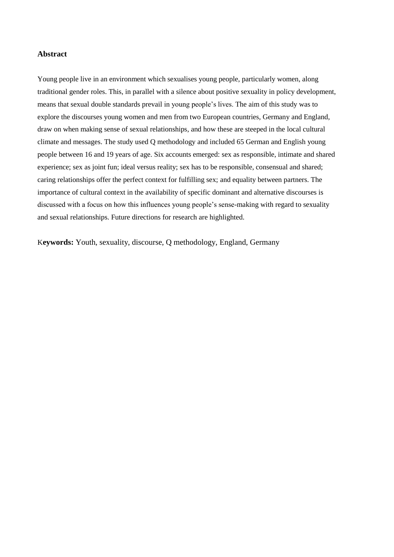#### **Abstract**

Young people live in an environment which sexualises young people, particularly women, along traditional gender roles. This, in parallel with a silence about positive sexuality in policy development, means that sexual double standards prevail in young people"s lives. The aim of this study was to explore the discourses young women and men from two European countries, Germany and England, draw on when making sense of sexual relationships, and how these are steeped in the local cultural climate and messages. The study used Q methodology and included 65 German and English young people between 16 and 19 years of age. Six accounts emerged: sex as responsible, intimate and shared experience; sex as joint fun; ideal versus reality; sex has to be responsible, consensual and shared; caring relationships offer the perfect context for fulfilling sex; and equality between partners. The importance of cultural context in the availability of specific dominant and alternative discourses is discussed with a focus on how this influences young people"s sense-making with regard to sexuality and sexual relationships. Future directions for research are highlighted.

K**eywords:** Youth, sexuality, discourse, Q methodology, England, Germany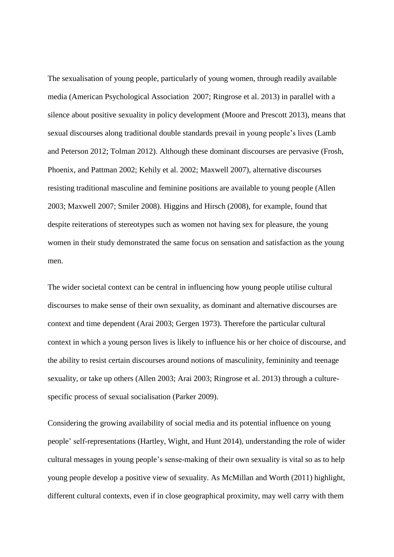The sexualisation of young people, particularly of young women, through readily available media (American Psychological Association 2007; Ringrose et al. 2013) in parallel with a silence about positive sexuality in policy development (Moore and Prescott 2013), means that sexual discourses along traditional double standards prevail in young people"s lives (Lamb and Peterson 2012; Tolman 2012). Although these dominant discourses are pervasive (Frosh, Phoenix, and Pattman 2002; Kehily et al. 2002; Maxwell 2007), alternative discourses resisting traditional masculine and feminine positions are available to young people (Allen 2003; Maxwell 2007; Smiler 2008). Higgins and Hirsch (2008), for example, found that despite reiterations of stereotypes such as women not having sex for pleasure, the young women in their study demonstrated the same focus on sensation and satisfaction as the young men.

The wider societal context can be central in influencing how young people utilise cultural discourses to make sense of their own sexuality, as dominant and alternative discourses are context and time dependent (Arai 2003; Gergen 1973). Therefore the particular cultural context in which a young person lives is likely to influence his or her choice of discourse, and the ability to resist certain discourses around notions of masculinity, femininity and teenage sexuality, or take up others (Allen 2003; Arai 2003; Ringrose et al. 2013) through a culturespecific process of sexual socialisation (Parker 2009).

Considering the growing availability of social media and its potential influence on young people" self-representations (Hartley, Wight, and Hunt 2014), understanding the role of wider cultural messages in young people"s sense-making of their own sexuality is vital so as to help young people develop a positive view of sexuality. As McMillan and Worth (2011) highlight, different cultural contexts, even if in close geographical proximity, may well carry with them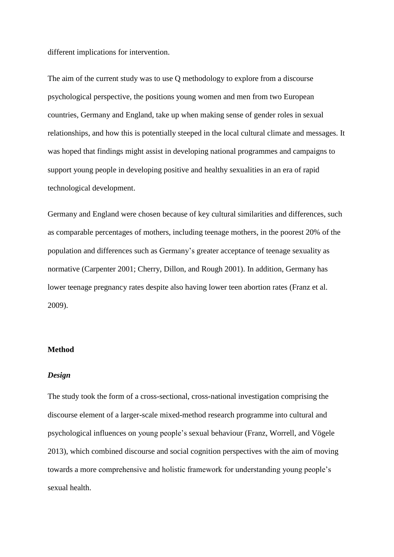different implications for intervention.

The aim of the current study was to use Q methodology to explore from a discourse psychological perspective, the positions young women and men from two European countries, Germany and England, take up when making sense of gender roles in sexual relationships, and how this is potentially steeped in the local cultural climate and messages. It was hoped that findings might assist in developing national programmes and campaigns to support young people in developing positive and healthy sexualities in an era of rapid technological development.

Germany and England were chosen because of key cultural similarities and differences, such as comparable percentages of mothers, including teenage mothers, in the poorest 20% of the population and differences such as Germany"s greater acceptance of teenage sexuality as normative (Carpenter 2001; Cherry, Dillon, and Rough 2001). In addition, Germany has lower teenage pregnancy rates despite also having lower teen abortion rates (Franz et al. 2009).

## **Method**

#### *Design*

The study took the form of a cross-sectional, cross-national investigation comprising the discourse element of a larger-scale mixed-method research programme into cultural and psychological influences on young people"s sexual behaviour (Franz, Worrell, and Vögele 2013), which combined discourse and social cognition perspectives with the aim of moving towards a more comprehensive and holistic framework for understanding young people"s sexual health.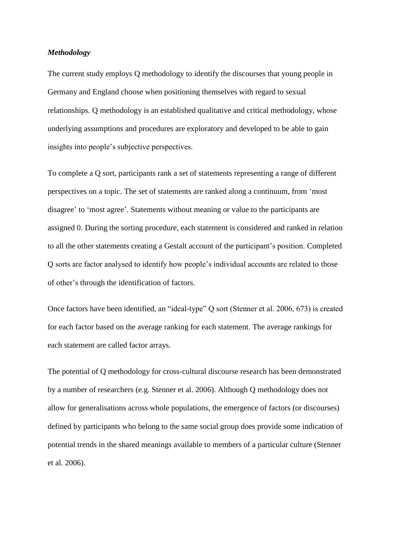#### *Methodology*

The current study employs Q methodology to identify the discourses that young people in Germany and England choose when positioning themselves with regard to sexual relationships. Q methodology is an established qualitative and critical methodology, whose underlying assumptions and procedures are exploratory and developed to be able to gain insights into people"s subjective perspectives.

To complete a Q sort, participants rank a set of statements representing a range of different perspectives on a topic. The set of statements are ranked along a continuum, from "most disagree" to "most agree". Statements without meaning or value to the participants are assigned 0. During the sorting procedure, each statement is considered and ranked in relation to all the other statements creating a Gestalt account of the participant"s position. Completed Q sorts are factor analysed to identify how people"s individual accounts are related to those of other"s through the identification of factors.

Once factors have been identified, an "ideal-type" Q sort (Stenner et al. 2006, 673) is created for each factor based on the average ranking for each statement. The average rankings for each statement are called factor arrays.

The potential of Q methodology for cross-cultural discourse research has been demonstrated by a number of researchers (e.g. Stenner et al. 2006). Although Q methodology does not allow for generalisations across whole populations, the emergence of factors (or discourses) defined by participants who belong to the same social group does provide some indication of potential trends in the shared meanings available to members of a particular culture (Stenner et al. 2006).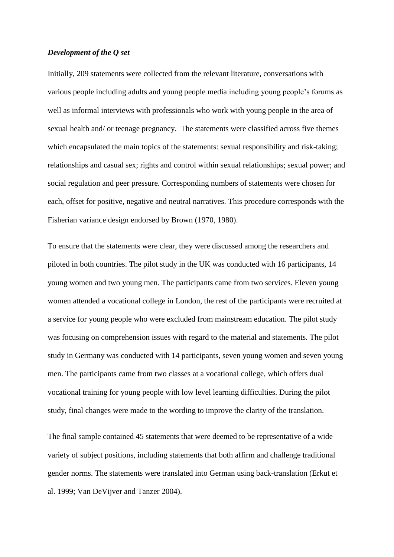## *Development of the Q set*

Initially, 209 statements were collected from the relevant literature, conversations with various people including adults and young people media including young people"s forums as well as informal interviews with professionals who work with young people in the area of sexual health and/ or teenage pregnancy. The statements were classified across five themes which encapsulated the main topics of the statements: sexual responsibility and risk-taking; relationships and casual sex; rights and control within sexual relationships; sexual power; and social regulation and peer pressure. Corresponding numbers of statements were chosen for each, offset for positive, negative and neutral narratives. This procedure corresponds with the Fisherian variance design endorsed by Brown (1970, 1980).

To ensure that the statements were clear, they were discussed among the researchers and piloted in both countries. The pilot study in the UK was conducted with 16 participants, 14 young women and two young men. The participants came from two services. Eleven young women attended a vocational college in London, the rest of the participants were recruited at a service for young people who were excluded from mainstream education. The pilot study was focusing on comprehension issues with regard to the material and statements. The pilot study in Germany was conducted with 14 participants, seven young women and seven young men. The participants came from two classes at a vocational college, which offers dual vocational training for young people with low level learning difficulties. During the pilot study, final changes were made to the wording to improve the clarity of the translation.

The final sample contained 45 statements that were deemed to be representative of a wide variety of subject positions, including statements that both affirm and challenge traditional gender norms. The statements were translated into German using back-translation (Erkut et al. 1999; Van DeVijver and Tanzer 2004).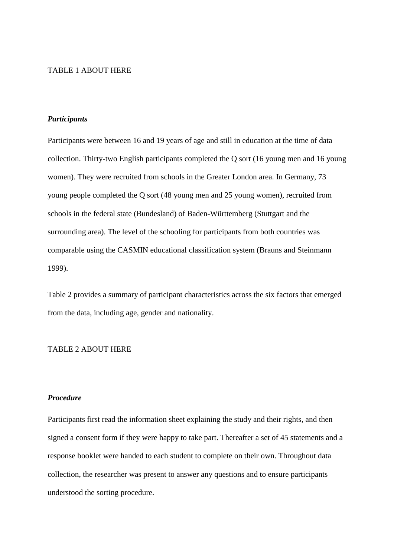## TABLE 1 ABOUT HERE

## *Participants*

Participants were between 16 and 19 years of age and still in education at the time of data collection. Thirty-two English participants completed the Q sort (16 young men and 16 young women). They were recruited from schools in the Greater London area. In Germany, 73 young people completed the Q sort (48 young men and 25 young women), recruited from schools in the federal state (Bundesland) of Baden-Württemberg (Stuttgart and the surrounding area). The level of the schooling for participants from both countries was comparable using the CASMIN educational classification system (Brauns and Steinmann 1999).

Table 2 provides a summary of participant characteristics across the six factors that emerged from the data, including age, gender and nationality.

#### TABLE 2 ABOUT HERE

# *Procedure*

Participants first read the information sheet explaining the study and their rights, and then signed a consent form if they were happy to take part. Thereafter a set of 45 statements and a response booklet were handed to each student to complete on their own. Throughout data collection, the researcher was present to answer any questions and to ensure participants understood the sorting procedure.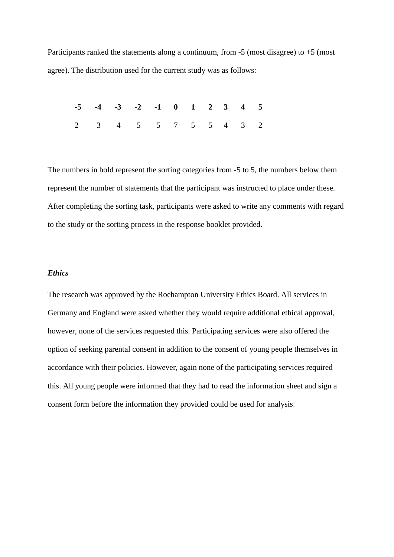Participants ranked the statements along a continuum, from  $-5$  (most disagree) to  $+5$  (most agree). The distribution used for the current study was as follows:

|  | $-5$ $-4$ $-3$ $-2$ $-1$ 0 1 2 3 4 5        |  |  |  |  |
|--|---------------------------------------------|--|--|--|--|
|  | $2 \t3 \t4 \t5 \t5 \t7 \t5 \t5 \t4 \t3 \t2$ |  |  |  |  |

The numbers in bold represent the sorting categories from -5 to 5, the numbers below them represent the number of statements that the participant was instructed to place under these. After completing the sorting task, participants were asked to write any comments with regard to the study or the sorting process in the response booklet provided.

# *Ethics*

The research was approved by the Roehampton University Ethics Board. All services in Germany and England were asked whether they would require additional ethical approval, however, none of the services requested this. Participating services were also offered the option of seeking parental consent in addition to the consent of young people themselves in accordance with their policies. However, again none of the participating services required this. All young people were informed that they had to read the information sheet and sign a consent form before the information they provided could be used for analysis.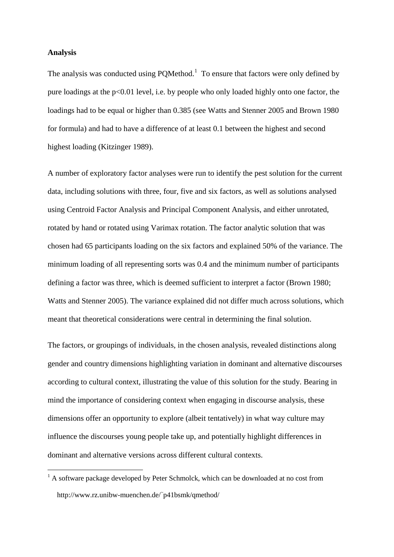## **Analysis**

1

The analysis was conducted using  $PQMethod<sup>1</sup>$  To ensure that factors were only defined by pure loadings at the  $p<0.01$  level, i.e. by people who only loaded highly onto one factor, the loadings had to be equal or higher than 0.385 (see Watts and Stenner 2005 and Brown 1980 for formula) and had to have a difference of at least 0.1 between the highest and second highest loading (Kitzinger 1989).

A number of exploratory factor analyses were run to identify the pest solution for the current data, including solutions with three, four, five and six factors, as well as solutions analysed using Centroid Factor Analysis and Principal Component Analysis, and either unrotated, rotated by hand or rotated using Varimax rotation. The factor analytic solution that was chosen had 65 participants loading on the six factors and explained 50% of the variance. The minimum loading of all representing sorts was 0.4 and the minimum number of participants defining a factor was three, which is deemed sufficient to interpret a factor (Brown 1980; Watts and Stenner 2005). The variance explained did not differ much across solutions, which meant that theoretical considerations were central in determining the final solution.

The factors, or groupings of individuals, in the chosen analysis, revealed distinctions along gender and country dimensions highlighting variation in dominant and alternative discourses according to cultural context, illustrating the value of this solution for the study. Bearing in mind the importance of considering context when engaging in discourse analysis, these dimensions offer an opportunity to explore (albeit tentatively) in what way culture may influence the discourses young people take up, and potentially highlight differences in dominant and alternative versions across different cultural contexts.

 $<sup>1</sup>$  A software package developed by Peter Schmolck, which can be downloaded at no cost from</sup> http://www.rz.unibw-muenchen.de/<sup>~</sup> p41bsmk/qmethod/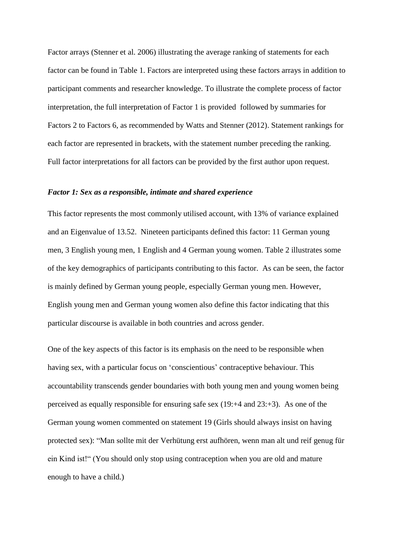Factor arrays (Stenner et al. 2006) illustrating the average ranking of statements for each factor can be found in Table 1. Factors are interpreted using these factors arrays in addition to participant comments and researcher knowledge. To illustrate the complete process of factor interpretation, the full interpretation of Factor 1 is provided followed by summaries for Factors 2 to Factors 6, as recommended by Watts and Stenner (2012). Statement rankings for each factor are represented in brackets, with the statement number preceding the ranking. Full factor interpretations for all factors can be provided by the first author upon request.

#### *Factor 1: Sex as a responsible, intimate and shared experience*

This factor represents the most commonly utilised account, with 13% of variance explained and an Eigenvalue of 13.52. Nineteen participants defined this factor: 11 German young men, 3 English young men, 1 English and 4 German young women. Table 2 illustrates some of the key demographics of participants contributing to this factor. As can be seen, the factor is mainly defined by German young people, especially German young men. However, English young men and German young women also define this factor indicating that this particular discourse is available in both countries and across gender.

One of the key aspects of this factor is its emphasis on the need to be responsible when having sex, with a particular focus on 'conscientious' contraceptive behaviour. This accountability transcends gender boundaries with both young men and young women being perceived as equally responsible for ensuring safe sex  $(19: +4$  and  $23: +3)$ . As one of the German young women commented on statement 19 (Girls should always insist on having protected sex): "Man sollte mit der Verhütung erst aufhören, wenn man alt und reif genug für ein Kind ist!" (You should only stop using contraception when you are old and mature enough to have a child.)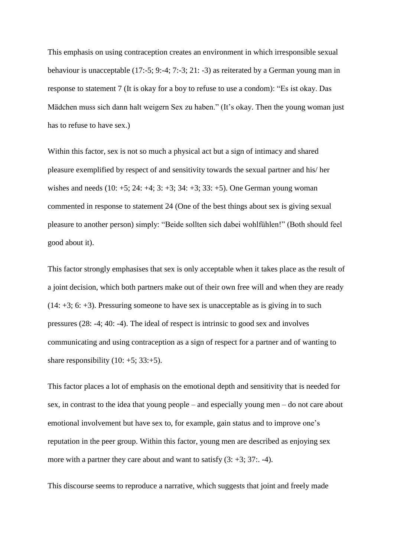This emphasis on using contraception creates an environment in which irresponsible sexual behaviour is unacceptable (17:-5; 9:-4; 7:-3; 21: -3) as reiterated by a German young man in response to statement 7 (It is okay for a boy to refuse to use a condom): "Es ist okay. Das Mädchen muss sich dann halt weigern Sex zu haben." (It's okay. Then the young woman just has to refuse to have sex.)

Within this factor, sex is not so much a physical act but a sign of intimacy and shared pleasure exemplified by respect of and sensitivity towards the sexual partner and his/ her wishes and needs  $(10: +5; 24: +4; 3: +3; 34: +3; 33: +5)$ . One German young woman commented in response to statement 24 (One of the best things about sex is giving sexual pleasure to another person) simply: "Beide sollten sich dabei wohlfühlen!" (Both should feel good about it).

This factor strongly emphasises that sex is only acceptable when it takes place as the result of a joint decision, which both partners make out of their own free will and when they are ready  $(14: +3; 6: +3)$ . Pressuring someone to have sex is unacceptable as is giving in to such pressures (28: -4; 40: -4). The ideal of respect is intrinsic to good sex and involves communicating and using contraception as a sign of respect for a partner and of wanting to share responsibility  $(10: +5; 33: +5)$ .

This factor places a lot of emphasis on the emotional depth and sensitivity that is needed for sex, in contrast to the idea that young people – and especially young men – do not care about emotional involvement but have sex to, for example, gain status and to improve one"s reputation in the peer group. Within this factor, young men are described as enjoying sex more with a partner they care about and want to satisfy  $(3: +3; 37: -4)$ .

This discourse seems to reproduce a narrative, which suggests that joint and freely made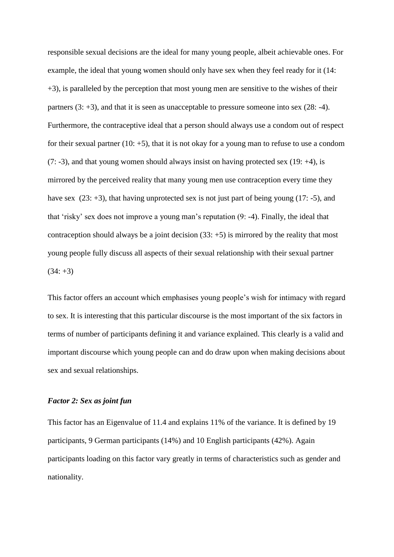responsible sexual decisions are the ideal for many young people, albeit achievable ones. For example, the ideal that young women should only have sex when they feel ready for it (14: +3), is paralleled by the perception that most young men are sensitive to the wishes of their partners  $(3: +3)$ , and that it is seen as unacceptable to pressure someone into sex  $(28: -4)$ . Furthermore, the contraceptive ideal that a person should always use a condom out of respect for their sexual partner (10:  $+5$ ), that it is not okay for a young man to refuse to use a condom  $(7: -3)$ , and that young women should always insist on having protected sex  $(19: +4)$ , is mirrored by the perceived reality that many young men use contraception every time they have sex  $(23: +3)$ , that having unprotected sex is not just part of being young  $(17: -5)$ , and that "risky" sex does not improve a young man"s reputation (9: -4). Finally, the ideal that contraception should always be a joint decision  $(33: +5)$  is mirrored by the reality that most young people fully discuss all aspects of their sexual relationship with their sexual partner  $(34: +3)$ 

This factor offers an account which emphasises young people"s wish for intimacy with regard to sex. It is interesting that this particular discourse is the most important of the six factors in terms of number of participants defining it and variance explained. This clearly is a valid and important discourse which young people can and do draw upon when making decisions about sex and sexual relationships.

## *Factor 2: Sex as joint fun*

This factor has an Eigenvalue of 11.4 and explains 11% of the variance. It is defined by 19 participants, 9 German participants (14%) and 10 English participants (42%). Again participants loading on this factor vary greatly in terms of characteristics such as gender and nationality.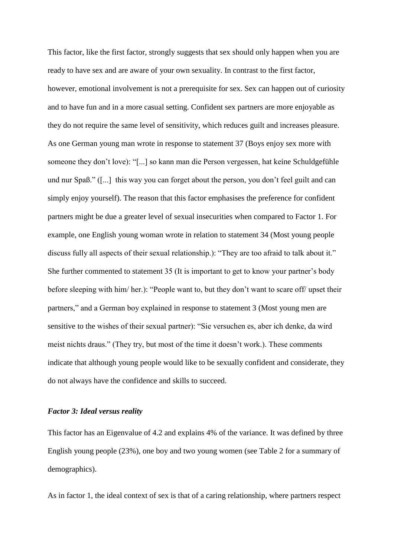This factor, like the first factor, strongly suggests that sex should only happen when you are ready to have sex and are aware of your own sexuality. In contrast to the first factor, however, emotional involvement is not a prerequisite for sex. Sex can happen out of curiosity and to have fun and in a more casual setting. Confident sex partners are more enjoyable as they do not require the same level of sensitivity, which reduces guilt and increases pleasure. As one German young man wrote in response to statement 37 (Boys enjoy sex more with someone they don"t love): "[...] so kann man die Person vergessen, hat keine Schuldgefühle und nur Spaß." ([...] this way you can forget about the person, you don"t feel guilt and can simply enjoy yourself). The reason that this factor emphasises the preference for confident partners might be due a greater level of sexual insecurities when compared to Factor 1. For example, one English young woman wrote in relation to statement 34 (Most young people discuss fully all aspects of their sexual relationship.): "They are too afraid to talk about it." She further commented to statement 35 (It is important to get to know your partner's body before sleeping with him/ her.): "People want to, but they don"t want to scare off/ upset their partners," and a German boy explained in response to statement 3 (Most young men are sensitive to the wishes of their sexual partner): "Sie versuchen es, aber ich denke, da wird meist nichts draus." (They try, but most of the time it doesn"t work.). These comments indicate that although young people would like to be sexually confident and considerate, they do not always have the confidence and skills to succeed.

#### *Factor 3: Ideal versus reality*

This factor has an Eigenvalue of 4.2 and explains 4% of the variance. It was defined by three English young people (23%), one boy and two young women (see Table 2 for a summary of demographics).

As in factor 1, the ideal context of sex is that of a caring relationship, where partners respect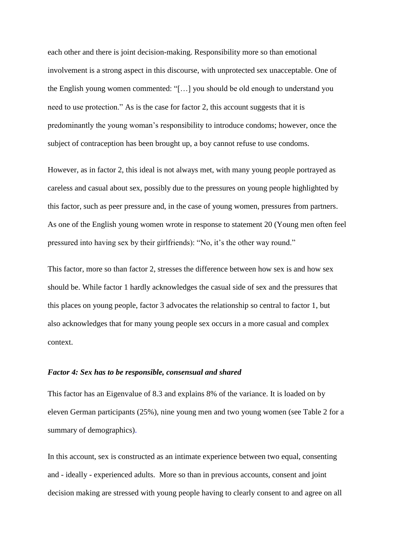each other and there is joint decision-making. Responsibility more so than emotional involvement is a strong aspect in this discourse, with unprotected sex unacceptable. One of the English young women commented: "[…] you should be old enough to understand you need to use protection." As is the case for factor 2, this account suggests that it is predominantly the young woman"s responsibility to introduce condoms; however, once the subject of contraception has been brought up, a boy cannot refuse to use condoms.

However, as in factor 2, this ideal is not always met, with many young people portrayed as careless and casual about sex, possibly due to the pressures on young people highlighted by this factor, such as peer pressure and, in the case of young women, pressures from partners. As one of the English young women wrote in response to statement 20 (Young men often feel pressured into having sex by their girlfriends): "No, it"s the other way round."

This factor, more so than factor 2, stresses the difference between how sex is and how sex should be. While factor 1 hardly acknowledges the casual side of sex and the pressures that this places on young people, factor 3 advocates the relationship so central to factor 1, but also acknowledges that for many young people sex occurs in a more casual and complex context.

## *Factor 4: Sex has to be responsible, consensual and shared*

This factor has an Eigenvalue of 8.3 and explains 8% of the variance. It is loaded on by eleven German participants (25%), nine young men and two young women (see Table 2 for a summary of demographics).

In this account, sex is constructed as an intimate experience between two equal, consenting and - ideally - experienced adults. More so than in previous accounts, consent and joint decision making are stressed with young people having to clearly consent to and agree on all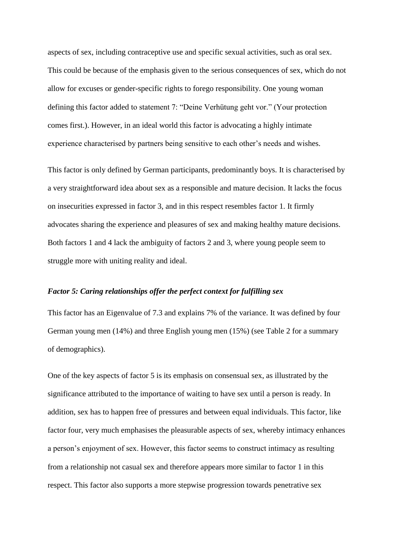aspects of sex, including contraceptive use and specific sexual activities, such as oral sex. This could be because of the emphasis given to the serious consequences of sex, which do not allow for excuses or gender-specific rights to forego responsibility. One young woman defining this factor added to statement 7: "Deine Verhütung geht vor." (Your protection comes first.). However, in an ideal world this factor is advocating a highly intimate experience characterised by partners being sensitive to each other"s needs and wishes.

This factor is only defined by German participants, predominantly boys. It is characterised by a very straightforward idea about sex as a responsible and mature decision. It lacks the focus on insecurities expressed in factor 3, and in this respect resembles factor 1. It firmly advocates sharing the experience and pleasures of sex and making healthy mature decisions. Both factors 1 and 4 lack the ambiguity of factors 2 and 3, where young people seem to struggle more with uniting reality and ideal.

### *Factor 5: Caring relationships offer the perfect context for fulfilling sex*

This factor has an Eigenvalue of 7.3 and explains 7% of the variance. It was defined by four German young men (14%) and three English young men (15%) (see Table 2 for a summary of demographics).

One of the key aspects of factor 5 is its emphasis on consensual sex, as illustrated by the significance attributed to the importance of waiting to have sex until a person is ready. In addition, sex has to happen free of pressures and between equal individuals. This factor, like factor four, very much emphasises the pleasurable aspects of sex, whereby intimacy enhances a person"s enjoyment of sex. However, this factor seems to construct intimacy as resulting from a relationship not casual sex and therefore appears more similar to factor 1 in this respect. This factor also supports a more stepwise progression towards penetrative sex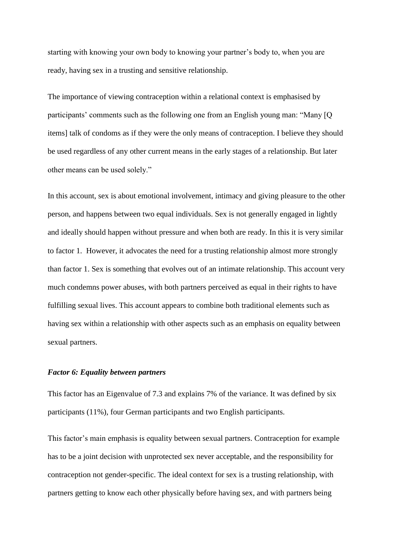starting with knowing your own body to knowing your partner"s body to, when you are ready, having sex in a trusting and sensitive relationship.

The importance of viewing contraception within a relational context is emphasised by participants' comments such as the following one from an English young man: "Many [Q] items] talk of condoms as if they were the only means of contraception. I believe they should be used regardless of any other current means in the early stages of a relationship. But later other means can be used solely."

In this account, sex is about emotional involvement, intimacy and giving pleasure to the other person, and happens between two equal individuals. Sex is not generally engaged in lightly and ideally should happen without pressure and when both are ready. In this it is very similar to factor 1. However, it advocates the need for a trusting relationship almost more strongly than factor 1. Sex is something that evolves out of an intimate relationship. This account very much condemns power abuses, with both partners perceived as equal in their rights to have fulfilling sexual lives. This account appears to combine both traditional elements such as having sex within a relationship with other aspects such as an emphasis on equality between sexual partners.

# *Factor 6: Equality between partners*

This factor has an Eigenvalue of 7.3 and explains 7% of the variance. It was defined by six participants (11%), four German participants and two English participants.

This factor's main emphasis is equality between sexual partners. Contraception for example has to be a joint decision with unprotected sex never acceptable, and the responsibility for contraception not gender-specific. The ideal context for sex is a trusting relationship, with partners getting to know each other physically before having sex, and with partners being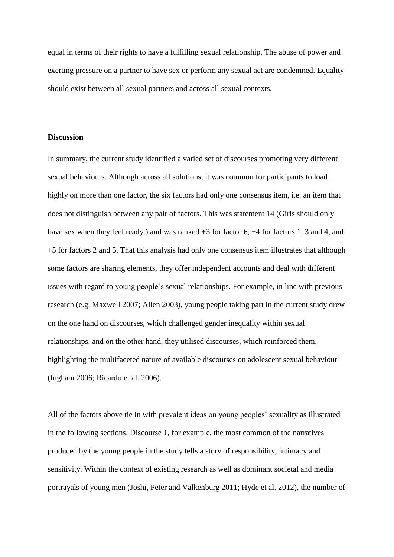equal in terms of their rights to have a fulfilling sexual relationship. The abuse of power and exerting pressure on a partner to have sex or perform any sexual act are condemned. Equality should exist between all sexual partners and across all sexual contexts.

# **Discussion**

In summary, the current study identified a varied set of discourses promoting very different sexual behaviours. Although across all solutions, it was common for participants to load highly on more than one factor, the six factors had only one consensus item, i.e. an item that does not distinguish between any pair of factors. This was statement 14 (Girls should only have sex when they feel ready.) and was ranked  $+3$  for factor 6,  $+4$  for factors 1, 3 and 4, and +5 for factors 2 and 5. That this analysis had only one consensus item illustrates that although some factors are sharing elements, they offer independent accounts and deal with different issues with regard to young people"s sexual relationships. For example, in line with previous research (e.g. Maxwell 2007; Allen 2003), young people taking part in the current study drew on the one hand on discourses, which challenged gender inequality within sexual relationships, and on the other hand, they utilised discourses, which reinforced them, highlighting the multifaceted nature of available discourses on adolescent sexual behaviour (Ingham 2006; Ricardo et al. 2006).

All of the factors above tie in with prevalent ideas on young peoples' sexuality as illustrated in the following sections. Discourse 1, for example, the most common of the narratives produced by the young people in the study tells a story of responsibility, intimacy and sensitivity. Within the context of existing research as well as dominant societal and media portrayals of young men (Joshi, Peter and Valkenburg 2011; Hyde et al. 2012), the number of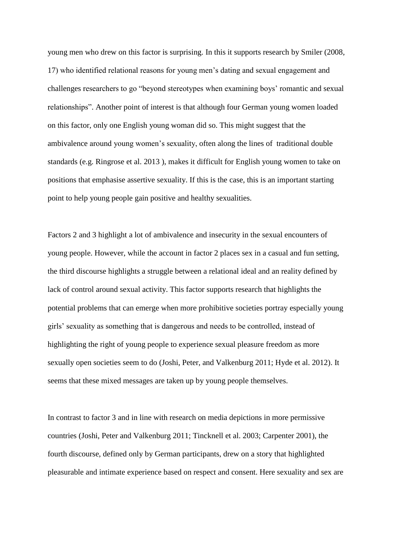young men who drew on this factor is surprising. In this it supports research by Smiler (2008, 17) who identified relational reasons for young men"s dating and sexual engagement and challenges researchers to go "beyond stereotypes when examining boys" romantic and sexual relationships". Another point of interest is that although four German young women loaded on this factor, only one English young woman did so. This might suggest that the ambivalence around young women"s sexuality, often along the lines of traditional double standards (e.g. Ringrose et al. 2013 ), makes it difficult for English young women to take on positions that emphasise assertive sexuality. If this is the case, this is an important starting point to help young people gain positive and healthy sexualities.

Factors 2 and 3 highlight a lot of ambivalence and insecurity in the sexual encounters of young people. However, while the account in factor 2 places sex in a casual and fun setting, the third discourse highlights a struggle between a relational ideal and an reality defined by lack of control around sexual activity. This factor supports research that highlights the potential problems that can emerge when more prohibitive societies portray especially young girls" sexuality as something that is dangerous and needs to be controlled, instead of highlighting the right of young people to experience sexual pleasure freedom as more sexually open societies seem to do (Joshi, Peter, and Valkenburg 2011; Hyde et al. 2012). It seems that these mixed messages are taken up by young people themselves.

In contrast to factor 3 and in line with research on media depictions in more permissive countries (Joshi, Peter and Valkenburg 2011; Tincknell et al. 2003; Carpenter 2001), the fourth discourse, defined only by German participants, drew on a story that highlighted pleasurable and intimate experience based on respect and consent. Here sexuality and sex are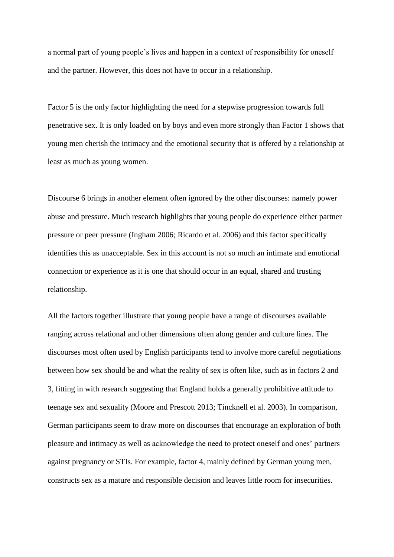a normal part of young people"s lives and happen in a context of responsibility for oneself and the partner. However, this does not have to occur in a relationship.

Factor 5 is the only factor highlighting the need for a stepwise progression towards full penetrative sex. It is only loaded on by boys and even more strongly than Factor 1 shows that young men cherish the intimacy and the emotional security that is offered by a relationship at least as much as young women.

Discourse 6 brings in another element often ignored by the other discourses: namely power abuse and pressure. Much research highlights that young people do experience either partner pressure or peer pressure (Ingham 2006; Ricardo et al. 2006) and this factor specifically identifies this as unacceptable. Sex in this account is not so much an intimate and emotional connection or experience as it is one that should occur in an equal, shared and trusting relationship.

All the factors together illustrate that young people have a range of discourses available ranging across relational and other dimensions often along gender and culture lines. The discourses most often used by English participants tend to involve more careful negotiations between how sex should be and what the reality of sex is often like, such as in factors 2 and 3, fitting in with research suggesting that England holds a generally prohibitive attitude to teenage sex and sexuality (Moore and Prescott 2013; Tincknell et al. 2003). In comparison, German participants seem to draw more on discourses that encourage an exploration of both pleasure and intimacy as well as acknowledge the need to protect oneself and ones" partners against pregnancy or STIs. For example, factor 4, mainly defined by German young men, constructs sex as a mature and responsible decision and leaves little room for insecurities.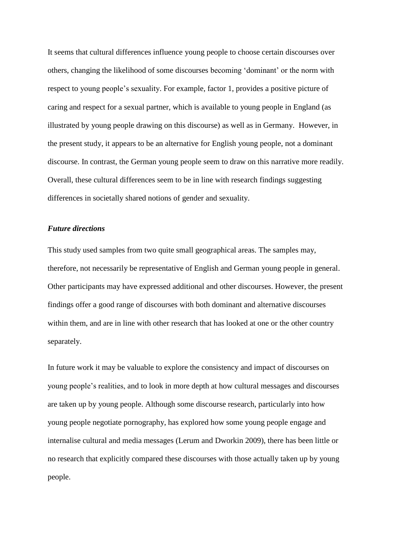It seems that cultural differences influence young people to choose certain discourses over others, changing the likelihood of some discourses becoming "dominant" or the norm with respect to young people"s sexuality. For example, factor 1, provides a positive picture of caring and respect for a sexual partner, which is available to young people in England (as illustrated by young people drawing on this discourse) as well as in Germany. However, in the present study, it appears to be an alternative for English young people, not a dominant discourse. In contrast, the German young people seem to draw on this narrative more readily. Overall, these cultural differences seem to be in line with research findings suggesting differences in societally shared notions of gender and sexuality.

# *Future directions*

This study used samples from two quite small geographical areas. The samples may, therefore, not necessarily be representative of English and German young people in general. Other participants may have expressed additional and other discourses. However, the present findings offer a good range of discourses with both dominant and alternative discourses within them, and are in line with other research that has looked at one or the other country separately.

In future work it may be valuable to explore the consistency and impact of discourses on young people"s realities, and to look in more depth at how cultural messages and discourses are taken up by young people. Although some discourse research, particularly into how young people negotiate pornography, has explored how some young people engage and internalise cultural and media messages (Lerum and Dworkin 2009), there has been little or no research that explicitly compared these discourses with those actually taken up by young people.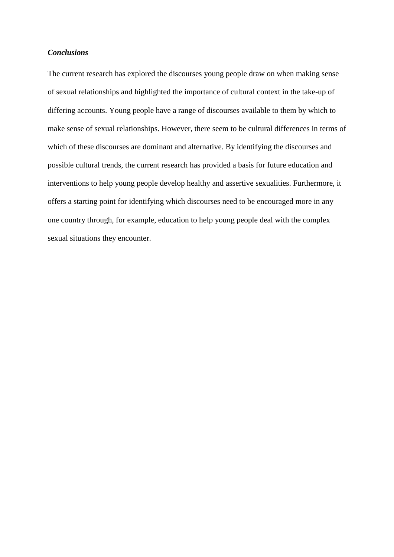# *Conclusions*

The current research has explored the discourses young people draw on when making sense of sexual relationships and highlighted the importance of cultural context in the take-up of differing accounts. Young people have a range of discourses available to them by which to make sense of sexual relationships. However, there seem to be cultural differences in terms of which of these discourses are dominant and alternative. By identifying the discourses and possible cultural trends, the current research has provided a basis for future education and interventions to help young people develop healthy and assertive sexualities. Furthermore, it offers a starting point for identifying which discourses need to be encouraged more in any one country through, for example, education to help young people deal with the complex sexual situations they encounter.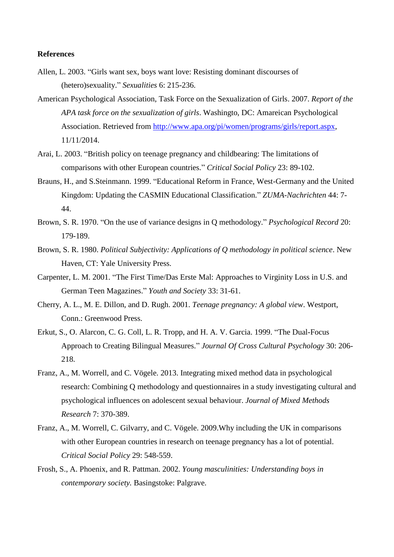## **References**

- Allen, L. 2003. "Girls want sex, boys want love: Resisting dominant discourses of (hetero)sexuality." *Sexualities* 6: 215-236.
- American Psychological Association, Task Force on the Sexualization of Girls. 2007. *Report of the APA task force on the sexualization of girls*. Washingto, DC: Amareican Psychological Association. Retrieved from [http://www.apa.org/pi/women/programs/girls/report.aspx,](http://www.apa.org/pi/women/programs/girls/report.aspx) 11/11/2014.
- Arai, L. 2003. "British policy on teenage pregnancy and childbearing: The limitations of comparisons with other European countries." *Critical Social Policy* 23: 89-102.
- Brauns, H., and S.Steinmann. 1999. "Educational Reform in France, West-Germany and the United Kingdom: Updating the CASMIN Educational Classification." *ZUMA-Nachrichten* 44: 7- 44.
- Brown, S. R. 1970. "On the use of variance designs in Q methodology." *Psychological Record* 20: 179-189.
- Brown, S. R. 1980. *Political Subjectivity: Applications of Q methodology in political science*. New Haven, CT: Yale University Press.
- Carpenter, L. M. 2001. "The First Time/Das Erste Mal: Approaches to Virginity Loss in U.S. and German Teen Magazines." *Youth and Society* 33: 31-61.
- Cherry, A. L., M. E. Dillon, and D. Rugh. 2001. *Teenage pregnancy: A global view*. Westport, Conn.: Greenwood Press.
- Erkut, S., O. Alarcon, C. G. Coll, L. R. Tropp, and H. A. V. Garcia. 1999. "The Dual-Focus Approach to Creating Bilingual Measures." *Journal Of Cross Cultural Psychology* 30: 206- 218.
- Franz, A., M. Worrell, and C. Vögele. 2013. Integrating mixed method data in psychological research: Combining Q methodology and questionnaires in a study investigating cultural and psychological influences on adolescent sexual behaviour. *Journal of Mixed Methods Research* 7: 370-389.
- Franz, A., M. Worrell, C. Gilvarry, and C. Vögele. 2009.Why including the UK in comparisons with other European countries in research on teenage pregnancy has a lot of potential. *Critical Social Policy* 29: 548-559.
- Frosh, S., A. Phoenix, and R. Pattman. 2002. *Young masculinities: Understanding boys in contemporary society.* Basingstoke: Palgrave.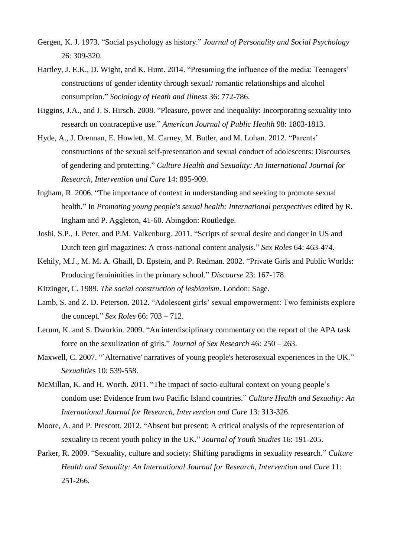- Gergen, K. J. 1973. "Social psychology as history." *Journal of Personality and Social Psychology* 26: 309-320.
- Hartley, J. E.K., D. Wight, and K. Hunt. 2014. "Presuming the influence of the media: Teenagers" constructions of gender identity through sexual/ romantic relationships and alcohol consumption." *Sociology of Heath and Illness* 36: 772-786.
- Higgins, J.A., and J. S. Hirsch. 2008. "Pleasure, power and inequality: Incorporating sexuality into research on contraceptive use." *American Journal of Public Health* 98: 1803-1813.
- Hyde, A., J. Drennan, E. Howlett, M. Carney, M. Butler, and M. Lohan. 2012. "Parents" constructions of the sexual self-presentation and sexual conduct of adolescents: Discourses of gendering and protecting." *Culture Health and Sexuality: An International Journal for Research, Intervention and Care* 14: 895-909.
- Ingham, R. 2006. "The importance of context in understanding and seeking to promote sexual health." In *Promoting young people's sexual health: International perspectives* edited by R. Ingham and P. Aggleton, 41-60. Abingdon: Routledge.
- Joshi, S.P., J. Peter, and P.M. Valkenburg. 2011. "Scripts of sexual desire and danger in US and Dutch teen girl magazines: A cross-national content analysis." *Sex Roles* 64: 463-474.
- Kehily, M.J., M. M. A. Ghaill, D. Epstein, and P. Redman. 2002. "Private Girls and Public Worlds: Producing femininities in the primary school." *Discourse* 23: 167-178.
- Kitzinger, C. 1989. *The social construction of lesbianism*. London: Sage.
- Lamb, S. and Z. D. Peterson. 2012. "Adolescent girls' sexual empowerment: Two feminists explore the concept." *Sex Roles* 66: 703 – 712.
- Lerum, K. and S. Dworkin. 2009. "An interdisciplinary commentary on the report of the APA task force on the sexulization of girls." *Journal of Sex Research* 46: 250 – 263.
- Maxwell, C. 2007. "`Alternative' narratives of young people's heterosexual experiences in the UK." *Sexualitie*s 10: 539-558.
- McMillan, K. and H. Worth. 2011. "The impact of socio-cultural context on young people"s condom use: Evidence from two Pacific Island countries." *Culture Health and Sexuality: An International Journal for Research, Intervention and Care* 13: 313-326.
- Moore, A. and P. Prescott. 2012. "Absent but present: A critical analysis of the representation of sexuality in recent youth policy in the UK." *Journal of Youth Studies* 16: 191-205.
- Parker, R. 2009. "Sexuality, culture and society: Shifting paradigms in sexuality research." *Culture Health and Sexuality: An International Journal for Research, Intervention and Care* 11: 251-266.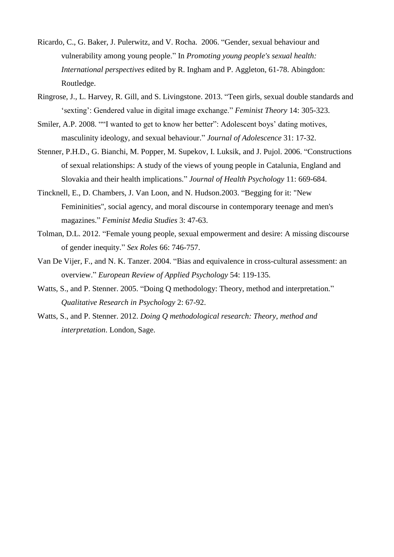- Ricardo, C., G. Baker, J. Pulerwitz, and V. Rocha. 2006. "Gender, sexual behaviour and vulnerability among young people." In *Promoting young people's sexual health: International perspectives* edited by R. Ingham and P. Aggleton, 61-78. Abingdon: Routledge.
- Ringrose, J., L. Harvey, R. Gill, and S. Livingstone. 2013. "Teen girls, sexual double standards and "sexting": Gendered value in digital image exchange." *Feminist Theory* 14: 305-323.
- Smiler, A.P. 2008. ""I wanted to get to know her better": Adolescent boys' dating motives, masculinity ideology, and sexual behaviour." *Journal of Adolescence* 31: 17-32.
- Stenner, P.H.D., G. Bianchi, M. Popper, M. Supekov, I. Luksik, and J. Pujol. 2006. "Constructions of sexual relationships: A study of the views of young people in Catalunia, England and Slovakia and their health implications." *Journal of Health Psychology* 11: 669-684.
- Tincknell, E., D. Chambers, J. Van Loon, and N. Hudson.2003. "Begging for it: "New Femininities", social agency, and moral discourse in contemporary teenage and men's magazines." *Feminist Media Studies* 3: 47-63.
- Tolman, D.L. 2012. "Female young people, sexual empowerment and desire: A missing discourse of gender inequity." *Sex Roles* 66: 746-757.
- Van De Vijer, F., and N. K. Tanzer. 2004. "Bias and equivalence in cross-cultural assessment: an overview." *European Review of Applied Psychology* 54: 119-135.
- Watts, S., and P. Stenner. 2005. "Doing Q methodology: Theory, method and interpretation." *Qualitative Research in Psychology* 2: 67-92.
- Watts, S., and P. Stenner. 2012. *Doing Q methodological research: Theory, method and interpretation*. London, Sage.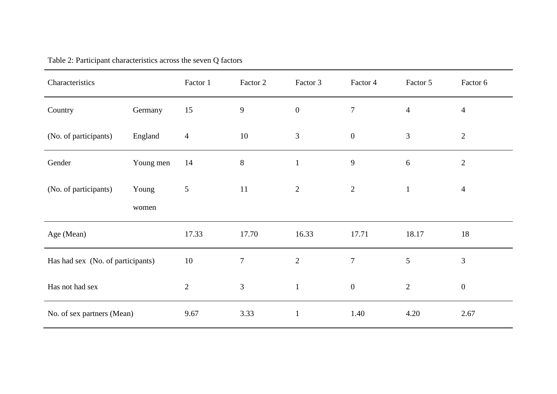| Characteristics                   |           | Factor 1       | Factor 2       | Factor 3         | Factor 4         | Factor 5       | Factor 6         |
|-----------------------------------|-----------|----------------|----------------|------------------|------------------|----------------|------------------|
| Country                           | Germany   | 15             | 9              | $\boldsymbol{0}$ | $\overline{7}$   | $\overline{4}$ | $\overline{4}$   |
| (No. of participants)             | England   | $\overline{4}$ | 10             | 3                | $\boldsymbol{0}$ | 3              | $\overline{2}$   |
| Gender                            | Young men | 14             | 8              | $\mathbf{1}$     | 9                | 6              | $\overline{2}$   |
| (No. of participants)             | Young     | $\mathfrak{S}$ | 11             | $\sqrt{2}$       | $\sqrt{2}$       | $\mathbf{1}$   | $\overline{4}$   |
|                                   | women     |                |                |                  |                  |                |                  |
| Age (Mean)                        |           | 17.33          | 17.70          | 16.33            | 17.71            | 18.17          | 18               |
| Has had sex (No. of participants) |           | 10             | $\overline{7}$ | $\overline{2}$   | $\overline{7}$   | 5              | $\overline{3}$   |
| Has not had sex                   |           | $\mathbf{2}$   | 3              | $\mathbf{1}$     | $\mathbf{0}$     | $\overline{2}$ | $\boldsymbol{0}$ |
| No. of sex partners (Mean)        |           | 9.67           | 3.33           | $\mathbf{1}$     | 1.40             | 4.20           | 2.67             |

Table 2: Participant characteristics across the seven Q factors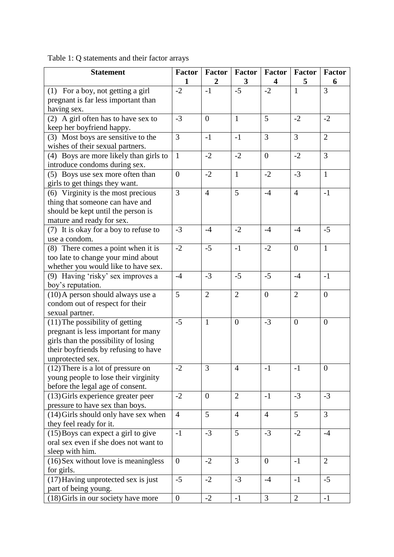| <b>Statement</b>                       | <b>Factor</b>    | <b>Factor</b>  | <b>Factor</b>  | <b>Factor</b>           | Factor         | <b>Factor</b>  |
|----------------------------------------|------------------|----------------|----------------|-------------------------|----------------|----------------|
|                                        | 1                | $\overline{2}$ | 3              | $\overline{\mathbf{4}}$ | 5              | 6              |
| (1) For a boy, not getting a girl      | $-2$             | $-1$           | $-5$           | $-2$                    | $\mathbf{1}$   | 3              |
| pregnant is far less important than    |                  |                |                |                         |                |                |
| having sex.                            |                  |                |                |                         |                |                |
| (2) A girl often has to have sex to    | $-3$             | $\overline{0}$ | $\mathbf{1}$   | 5                       | $-2$           | $-2$           |
| keep her boyfriend happy.              |                  |                |                |                         |                |                |
| (3) Most boys are sensitive to the     | 3                | $-1$           | $-1$           | 3                       | $\overline{3}$ | $\overline{2}$ |
| wishes of their sexual partners.       |                  |                |                |                         |                |                |
| (4) Boys are more likely than girls to | $\mathbf{1}$     | $-2$           | $-2$           | $\overline{0}$          | $-2$           | 3              |
| introduce condoms during sex.          |                  |                |                |                         |                |                |
| (5) Boys use sex more often than       | $\boldsymbol{0}$ | $-2$           | $\mathbf{1}$   | $-2$                    | $-3$           | $\mathbf{1}$   |
| girls to get things they want.         |                  |                |                |                         |                |                |
| (6) Virginity is the most precious     | 3                | $\overline{4}$ | 5              | $-4$                    | $\overline{4}$ | $-1$           |
| thing that someone can have and        |                  |                |                |                         |                |                |
| should be kept until the person is     |                  |                |                |                         |                |                |
| mature and ready for sex.              |                  |                |                |                         |                |                |
| (7) It is okay for a boy to refuse to  | $-3$             | $-4$           | $-2$           | $-4$                    | $-4$           | $-5$           |
| use a condom.                          |                  |                |                |                         |                |                |
| (8) There comes a point when it is     | $-2$             | $-5$           | $-1$           | $-2$                    | $\overline{0}$ | $\mathbf{1}$   |
| too late to change your mind about     |                  |                |                |                         |                |                |
| whether you would like to have sex.    |                  |                |                |                         |                |                |
| (9) Having 'risky' sex improves a      | $-4$             | $-3$           | $-5$           | $-5$                    | $-4$           | $-1$           |
| boy's reputation.                      |                  |                |                |                         |                |                |
| (10) A person should always use a      | 5                | $\mathbf{2}$   | $\overline{2}$ | $\overline{0}$          | $\overline{2}$ | $\overline{0}$ |
| condom out of respect for their        |                  |                |                |                         |                |                |
| sexual partner.                        |                  |                |                |                         |                |                |
| $(11)$ The possibility of getting      | $-5$             | $\mathbf{1}$   | $\overline{0}$ | $-3$                    | $\overline{0}$ | $\overline{0}$ |
| pregnant is less important for many    |                  |                |                |                         |                |                |
| girls than the possibility of losing   |                  |                |                |                         |                |                |
| their boyfriends by refusing to have   |                  |                |                |                         |                |                |
| unprotected sex.                       |                  |                |                |                         |                |                |
| $(12)$ There is a lot of pressure on   | $-2$             | 3              | $\overline{4}$ | $-1$                    | $-1$           | $\overline{0}$ |
| young people to lose their virginity   |                  |                |                |                         |                |                |
| before the legal age of consent.       |                  |                |                |                         |                |                |
| (13) Girls experience greater peer     | $-2$             | $\overline{0}$ | $\overline{2}$ | $-1$                    | $-3$           | $-3$           |
| pressure to have sex than boys.        |                  |                |                |                         |                |                |
| $(14)$ Girls should only have sex when | $\overline{4}$   | 5              | $\overline{4}$ | $\overline{4}$          | 5              | $\overline{3}$ |
| they feel ready for it.                |                  |                |                |                         |                |                |
| (15) Boys can expect a girl to give    | $-1$             | $-3$           | 5              | $-3$                    | $-2$           | $-4$           |
| oral sex even if she does not want to  |                  |                |                |                         |                |                |
| sleep with him.                        |                  |                |                |                         |                |                |
| (16) Sex without love is meaningless   | $\boldsymbol{0}$ | $-2$           | $\overline{3}$ | $\overline{0}$          | $-1$           | $\overline{2}$ |
| for girls.                             |                  |                |                |                         |                |                |
| (17) Having unprotected sex is just    | $-5$             | $-2$           | $-3$           | $-4$                    | $-1$           | $-5$           |
| part of being young.                   |                  |                |                |                         |                |                |
| (18) Girls in our society have more    | $\boldsymbol{0}$ | $-2$           | $-1$           | 3                       | $\overline{2}$ | $-1$           |

Table 1: Q statements and their factor arrays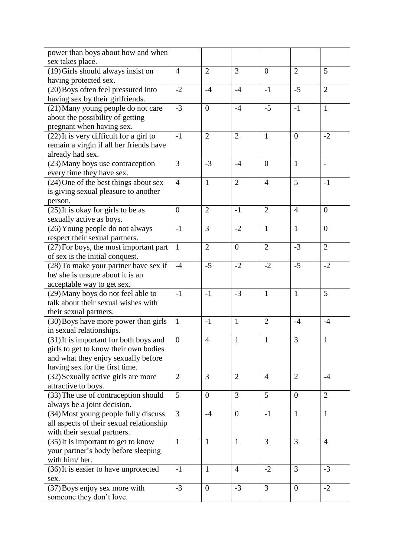| power than boys about how and when       |                |                |                |                  |                |                          |
|------------------------------------------|----------------|----------------|----------------|------------------|----------------|--------------------------|
| sex takes place.                         |                |                |                |                  |                |                          |
| (19) Girls should always insist on       | $\overline{4}$ | $\overline{2}$ | 3              | $\boldsymbol{0}$ | $\overline{2}$ | 5                        |
| having protected sex.                    |                |                |                |                  |                |                          |
| (20) Boys often feel pressured into      | $-2$           | $-4$           | $-4$           | $-1$             | $-5$           | $\overline{2}$           |
| having sex by their girlfriends.         |                |                |                |                  |                |                          |
| (21) Many young people do not care       | $-3$           | $\mathbf{0}$   | $-4$           | $-5$             | $-1$           | $\mathbf{1}$             |
| about the possibility of getting         |                |                |                |                  |                |                          |
| pregnant when having sex.                |                |                |                |                  |                |                          |
| (22) It is very difficult for a girl to  | $-1$           | $\overline{2}$ | $\overline{2}$ | $\mathbf{1}$     | $\mathbf{0}$   | $-2$                     |
| remain a virgin if all her friends have  |                |                |                |                  |                |                          |
| already had sex.                         |                |                |                |                  |                |                          |
| (23) Many boys use contraception         | 3              | $-3$           | $-4$           | $\boldsymbol{0}$ | $\mathbf{1}$   | $\overline{\phantom{a}}$ |
| every time they have sex.                |                |                |                |                  |                |                          |
| (24) One of the best things about sex    | $\overline{4}$ | $\mathbf{1}$   | $\mathfrak{2}$ | $\overline{4}$   | 5              | $-1$                     |
| is giving sexual pleasure to another     |                |                |                |                  |                |                          |
| person.                                  |                |                |                |                  |                |                          |
| $(25)$ It is okay for girls to be as     | $\overline{0}$ | $\overline{2}$ | $-1$           | $\overline{2}$   | $\overline{4}$ | $\overline{0}$           |
| sexually active as boys.                 |                |                |                |                  |                |                          |
| (26) Young people do not always          | $-1$           | $\overline{3}$ | $-2$           | $\mathbf{1}$     | $\mathbf{1}$   | $\mathbf{0}$             |
| respect their sexual partners.           |                |                |                |                  |                |                          |
| (27) For boys, the most important part   | $\mathbf{1}$   | $\overline{2}$ | $\overline{0}$ | $\overline{2}$   | $-3$           | $\overline{2}$           |
| of sex is the initial conquest.          |                |                |                |                  |                |                          |
| (28) To make your partner have sex if    | $-4$           | $-5$           | $-2$           | $-2$             | $-5$           | $-2$                     |
| he/ she is unsure about it is an         |                |                |                |                  |                |                          |
| acceptable way to get sex.               |                |                |                |                  |                |                          |
| (29) Many boys do not feel able to       | $-1$           | $-1$           | $-3$           | $\mathbf{1}$     | $\mathbf{1}$   | 5                        |
| talk about their sexual wishes with      |                |                |                |                  |                |                          |
| their sexual partners.                   |                |                |                |                  |                |                          |
| (30) Boys have more power than girls     | $\mathbf{1}$   | $-1$           | $\mathbf{1}$   | $\overline{2}$   | $-4$           | $-4$                     |
| in sexual relationships.                 |                |                |                |                  |                |                          |
| (31) It is important for both boys and   | $\overline{0}$ | $\overline{4}$ | $\mathbf{1}$   | $\mathbf{1}$     | 3              | $\mathbf{1}$             |
| girls to get to know their own bodies    |                |                |                |                  |                |                          |
| and what they enjoy sexually before      |                |                |                |                  |                |                          |
| having sex for the first time.           |                |                |                |                  |                |                          |
| (32) Sexually active girls are more      | $\overline{2}$ | 3              | $\overline{2}$ | $\overline{4}$   | $\overline{2}$ | $-4$                     |
| attractive to boys.                      |                |                |                |                  |                |                          |
| (33) The use of contraception should     | 5              | $\overline{0}$ | 3              | 5                | $\overline{0}$ | $\overline{2}$           |
| always be a joint decision.              |                |                |                |                  |                |                          |
| (34) Most young people fully discuss     | 3              | $-4$           | $\overline{0}$ | $-1$             | $\mathbf{1}$   | $\mathbf{1}$             |
| all aspects of their sexual relationship |                |                |                |                  |                |                          |
| with their sexual partners.              |                |                |                |                  |                |                          |
| (35) It is important to get to know      | $\mathbf{1}$   | $\mathbf{1}$   | 1              | 3                | 3              | $\overline{4}$           |
| your partner's body before sleeping      |                |                |                |                  |                |                          |
| with him/her.                            |                |                |                |                  |                |                          |
| (36) It is easier to have unprotected    | $-1$           | $\mathbf{1}$   | 4              | $-2$             | 3              | $-3$                     |
| sex.                                     |                |                |                |                  |                |                          |
| (37) Boys enjoy sex more with            | $-3$           | $\mathbf{0}$   | $-3$           | 3                | $\overline{0}$ | $-2$                     |
| someone they don't love.                 |                |                |                |                  |                |                          |